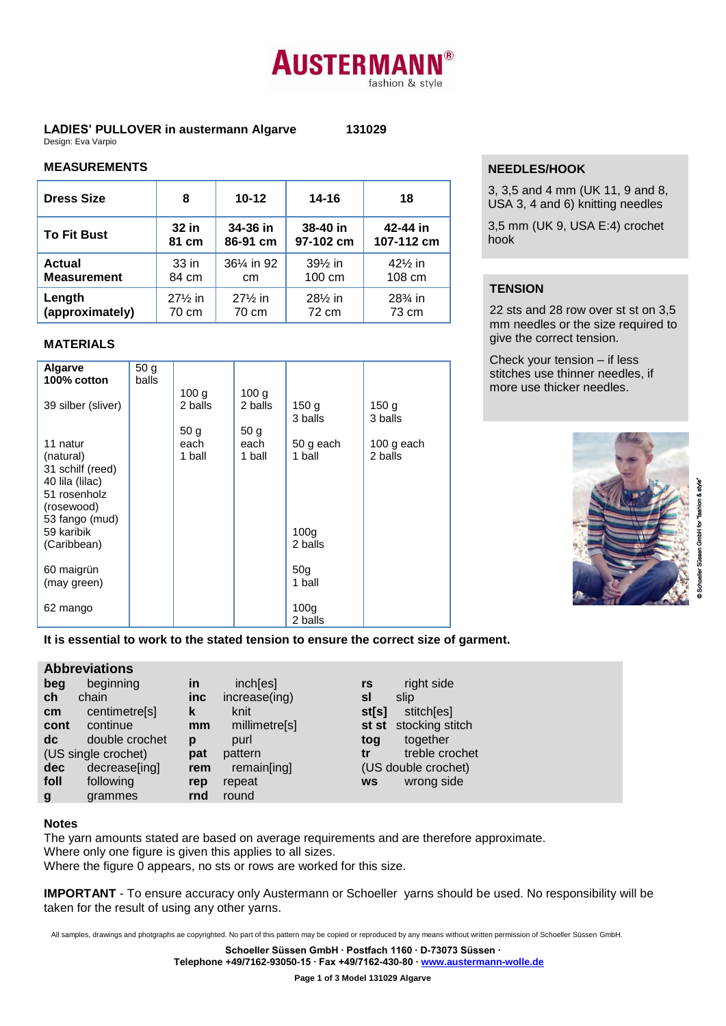# **AUSTERMAN** fashion & style

#### **LADIES' PULLOVER in austermann Algarve 131029** Design: Eva Varpio

## **MEASUREMENTS**

| <b>Dress Size</b>  | 8                  | $10 - 12$               | 14-16                | 18         |
|--------------------|--------------------|-------------------------|----------------------|------------|
| <b>To Fit Bust</b> | 32 in              | 34-36 in                | 38-40 in             | 42-44 in   |
|                    | 81 cm              | 86-91 cm                | 97-102 cm            | 107-112 cm |
| <b>Actual</b>      | 33 in              | 361/ <sub>4</sub> in 92 | $39\%$ in            | $42\%$ in  |
| <b>Measurement</b> | 84 cm              | cm                      | 100 cm               | 108 cm     |
| Length             | $27\frac{1}{2}$ in | $27\frac{1}{2}$ in      | 281/ <sub>2</sub> in | $28\%$ in  |
| (approximately)    | 70 cm              | 70 cm                   | 72 cm                | 73 cm      |

## **MATERIALS**

| Algarve                      | 50 <sub>g</sub> |                  |                  |                  |                  |
|------------------------------|-----------------|------------------|------------------|------------------|------------------|
| 100% cotton                  | balls           |                  |                  |                  |                  |
|                              |                 | 100 <sub>g</sub> | 100 <sub>g</sub> |                  |                  |
| 39 silber (sliver)           |                 | 2 balls          | 2 balls          | 150 <sub>g</sub> | 150 <sub>g</sub> |
|                              |                 |                  |                  | 3 balls          | 3 balls          |
|                              |                 | 50 <sub>q</sub>  | 50 <sub>q</sub>  |                  |                  |
| 11 natur                     |                 | each             | each             | 50 g each        | 100 g each       |
| (natural)                    |                 | 1 ball           | 1 ball           | 1 ball           | 2 balls          |
| 31 schilf (reed)             |                 |                  |                  |                  |                  |
| 40 lila (lilac)              |                 |                  |                  |                  |                  |
| 51 rosenholz                 |                 |                  |                  |                  |                  |
| (rosewood)<br>53 fango (mud) |                 |                  |                  |                  |                  |
| 59 karibik                   |                 |                  |                  | 100 <sub>g</sub> |                  |
| (Caribbean)                  |                 |                  |                  | 2 balls          |                  |
|                              |                 |                  |                  |                  |                  |
| 60 maigrün                   |                 |                  |                  | 50 <sub>g</sub>  |                  |
| (may green)                  |                 |                  |                  | 1 ball           |                  |
|                              |                 |                  |                  |                  |                  |
| 62 mango                     |                 |                  |                  | 100 <sub>q</sub> |                  |
|                              |                 |                  |                  | 2 balls          |                  |

# **NEEDLES/HOOK**

3, 3,5 and 4 mm (UK 11, 9 and 8, USA 3, 4 and 6) knitting needles

3,5 mm (UK 9, USA E:4) crochet hook

# **TENSION**

22 sts and 28 row over st st on 3,5 mm needles or the size required to give the correct tension.

Check your tension – if less stitches use thinner needles, if more use thicker needles.



**It is essential to work to the stated tension to ensure the correct size of garment.**

## **Abbreviations**

| beg        | beginning           | <u>in</u>  | inch[es]      | rs        | right side            |
|------------|---------------------|------------|---------------|-----------|-----------------------|
| ch         | chain               | <b>inc</b> | increase(ing) | sl        | slip                  |
| cm         | centimetre[s]       | k          | knit          | st[s]     | stitch[es]            |
| cont       | continue            | mm         | millimetre[s] |           | st st stocking stitch |
| dc         | double crochet      | p          | purl          | tog       | together              |
|            | (US single crochet) | pat        | pattern       | tr        | treble crochet        |
| <b>dec</b> | decrease[ing]       | rem        | remain[ing]   |           | (US double crochet)   |
| foll       | following           | rep        | repeat        | <b>WS</b> | wrong side            |
| g          | grammes             | rnd        | round         |           |                       |

#### **Notes**

The yarn amounts stated are based on average requirements and are therefore approximate. Where only one figure is given this applies to all sizes. Where the figure 0 appears, no sts or rows are worked for this size.

**IMPORTANT** - To ensure accuracy only Austermann or Schoeller yarns should be used. No responsibility will be taken for the result of using any other yarns.

All samples, drawings and photgraphs ae copyrighted. No part of this pattern may be copied or reproduced by any means without written permission of Schoeller Süssen GmbH.

**Schoeller Süssen GmbH ∙ Postfach 1160 ∙ D-73073 Süssen ∙**

**Telephone +49/7162-93050-15 ∙ Fax +49/7162-430-80 ∙ www.austermann-wolle.de**

**Page 1 of 3 Model 131029 Algarve**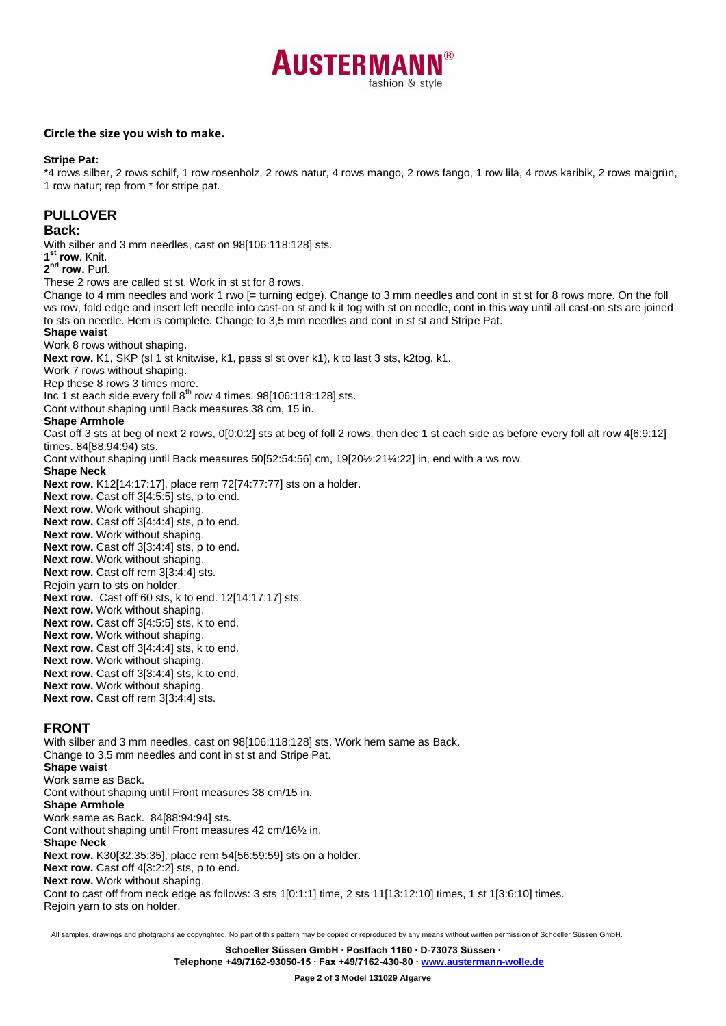

#### **Circle the size you wish to make.**

#### **Stripe Pat:**

\*4 rows silber, 2 rows schilf, 1 row rosenholz, 2 rows natur, 4 rows mango, 2 rows fango, 1 row lila, 4 rows karibik, 2 rows maigrün, 1 row natur; rep from \* for stripe pat.

## **PULLOVER**

#### **Back:**

With silber and 3 mm needles, cast on 98[106:118:128] sts.

**1 st row**. Knit.

**2 nd row.** Purl.

These 2 rows are called st st. Work in st st for 8 rows.

Change to 4 mm needles and work 1 rwo [= turning edge). Change to 3 mm needles and cont in st st for 8 rows more. On the foll ws row, fold edge and insert left needle into cast-on st and k it tog with st on needle, cont in this way until all cast-on sts are joined to sts on needle. Hem is complete. Change to 3,5 mm needles and cont in st st and Stripe Pat.

#### **Shape waist**

Work 8 rows without shaping.

**Next row.** K1, SKP (sl 1 st knitwise, k1, pass sl st over k1), k to last 3 sts, k2tog, k1.

Work 7 rows without shaping.

Rep these 8 rows 3 times more.

Inc 1 st each side every foll  $8^{th}$  row 4 times. 98[106:118:128] sts.

Cont without shaping until Back measures 38 cm, 15 in.

#### **Shape Armhole**

Cast off 3 sts at beg of next 2 rows, 0[0:0:2] sts at beg of foll 2 rows, then dec 1 st each side as before every foll alt row 4[6:9:12] times. 84[88:94:94) sts.

Cont without shaping until Back measures 50[52:54:56] cm, 19[20½:21¼:22] in, end with a ws row.

**Shape Neck**

**Next row.** K12[14:17:17], place rem 72[74:77:77] sts on a holder.

**Next row.** Cast off 3[4:5:5] sts, p to end.

**Next row.** Work without shaping.

**Next row.** Cast off 3[4:4:4] sts, p to end.

**Next row.** Work without shaping.

**Next row.** Cast off 3[3:4:4] sts, p to end.

**Next row.** Work without shaping.

**Next row.** Cast off rem 3[3:4:4] sts. Rejoin yarn to sts on holder.

**Next row.** Cast off 60 sts, k to end. 12[14:17:17] sts.

**Next row.** Work without shaping. **Next row.** Cast off 3[4:5:5] sts, k to end.

**Next row.** Work without shaping.

**Next row.** Cast off 3[4:4:4] sts, k to end.

**Next row.** Work without shaping.

**Next row.** Cast off 3[3:4:4] sts, k to end.

**Next row.** Work without shaping.

**Next row.** Cast off rem 3[3:4:4] sts.

# **FRONT**

With silber and 3 mm needles, cast on 98[106:118:128] sts. Work hem same as Back. Change to 3,5 mm needles and cont in st st and Stripe Pat. **Shape waist** Work same as Back. Cont without shaping until Front measures 38 cm/15 in. **Shape Armhole** Work same as Back. 84[88:94:94] sts. Cont without shaping until Front measures 42 cm/16½ in. **Shape Neck Next row.** K30[32:35:35], place rem 54[56:59:59] sts on a holder. **Next row.** Cast off 4[3:2:2] sts, p to end. **Next row.** Work without shaping. Cont to cast off from neck edge as follows: 3 sts 1[0:1:1] time, 2 sts 11[13:12:10] times, 1 st 1[3:6:10] times. Rejoin yarn to sts on holder.

All samples, drawings and photgraphs ae copyrighted. No part of this pattern may be copied or reproduced by any means without written permission of Schoeller Süssen GmbH